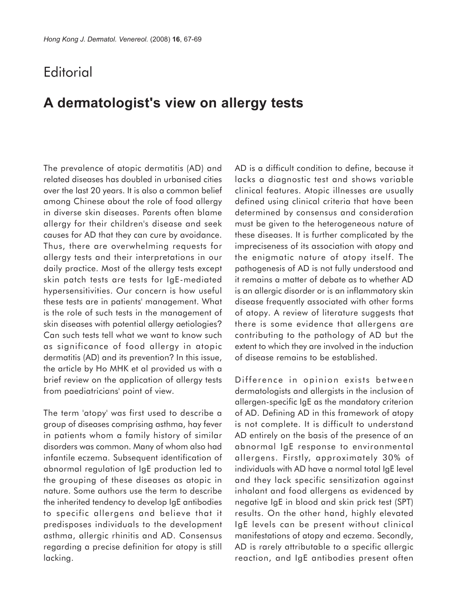## **Editorial**

## **A dermatologist's view on allergy tests**

The prevalence of atopic dermatitis (AD) and related diseases has doubled in urbanised cities over the last 20 years. It is also a common belief among Chinese about the role of food allergy in diverse skin diseases. Parents often blame allergy for their children's disease and seek causes for AD that they can cure by avoidance. Thus, there are overwhelming requests for allergy tests and their interpretations in our daily practice. Most of the allergy tests except skin patch tests are tests for IgE-mediated hypersensitivities. Our concern is how useful these tests are in patients' management. What is the role of such tests in the management of skin diseases with potential allergy aetiologies? Can such tests tell what we want to know such as significance of food allergy in atopic dermatitis (AD) and its prevention? In this issue, the article by Ho MHK et al provided us with a brief review on the application of allergy tests from paediatricians' point of view.

The term 'atopy' was first used to describe a group of diseases comprising asthma, hay fever in patients whom a family history of similar disorders was common. Many of whom also had infantile eczema. Subsequent identification of abnormal regulation of IgE production led to the grouping of these diseases as atopic in nature. Some authors use the term to describe the inherited tendency to develop IgE antibodies to specific allergens and believe that it predisposes individuals to the development asthma, allergic rhinitis and AD. Consensus regarding a precise definition for atopy is still lacking.

AD is a difficult condition to define, because it lacks a diagnostic test and shows variable clinical features. Atopic illnesses are usually defined using clinical criteria that have been determined by consensus and consideration must be given to the heterogeneous nature of these diseases. It is further complicated by the impreciseness of its association with atopy and the enigmatic nature of atopy itself. The pathogenesis of AD is not fully understood and it remains a matter of debate as to whether AD is an allergic disorder or is an inflammatory skin disease frequently associated with other forms of atopy. A review of literature suggests that there is some evidence that allergens are contributing to the pathology of AD but the extent to which they are involved in the induction of disease remains to be established.

Difference in opinion exists between dermatologists and allergists in the inclusion of allergen-specific IgE as the mandatory criterion of AD. Defining AD in this framework of atopy is not complete. It is difficult to understand AD entirely on the basis of the presence of an abnormal IgE response to environmental allergens. Firstly, approximately 30% of individuals with AD have a normal total IgE level and they lack specific sensitization against inhalant and food allergens as evidenced by negative IgE in blood and skin prick test (SPT) results. On the other hand, highly elevated IgE levels can be present without clinical manifestations of atopy and eczema. Secondly, AD is rarely attributable to a specific allergic reaction, and IgE antibodies present often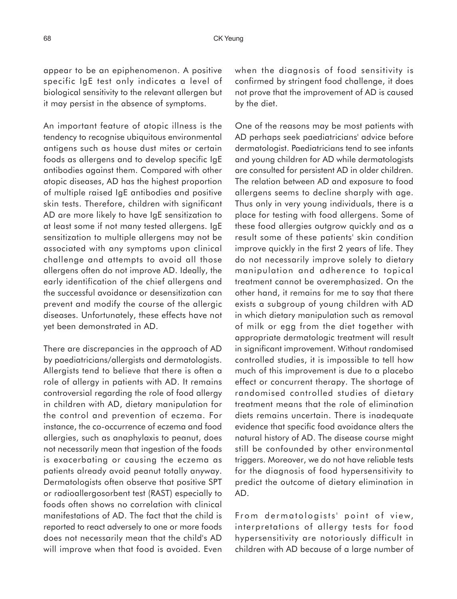appear to be an epiphenomenon. A positive specific IgE test only indicates a level of biological sensitivity to the relevant allergen but it may persist in the absence of symptoms.

An important feature of atopic illness is the tendency to recognise ubiquitous environmental antigens such as house dust mites or certain foods as allergens and to develop specific IgE antibodies against them. Compared with other atopic diseases, AD has the highest proportion of multiple raised IgE antibodies and positive skin tests. Therefore, children with significant AD are more likely to have IgE sensitization to at least some if not many tested allergens. IgE sensitization to multiple allergens may not be associated with any symptoms upon clinical challenge and attempts to avoid all those allergens often do not improve AD. Ideally, the early identification of the chief allergens and the successful avoidance or desensitization can prevent and modify the course of the allergic diseases. Unfortunately, these effects have not yet been demonstrated in AD.

There are discrepancies in the approach of AD by paediatricians/allergists and dermatologists. Allergists tend to believe that there is often a role of allergy in patients with AD. It remains controversial regarding the role of food allergy in children with AD, dietary manipulation for the control and prevention of eczema. For instance, the co-occurrence of eczema and food allergies, such as anaphylaxis to peanut, does not necessarily mean that ingestion of the foods is exacerbating or causing the eczema as patients already avoid peanut totally anyway. Dermatologists often observe that positive SPT or radioallergosorbent test (RAST) especially to foods often shows no correlation with clinical manifestations of AD. The fact that the child is reported to react adversely to one or more foods does not necessarily mean that the child's AD will improve when that food is avoided. Even

when the diagnosis of food sensitivity is confirmed by stringent food challenge, it does not prove that the improvement of AD is caused by the diet.

One of the reasons may be most patients with AD perhaps seek paediatricians' advice before dermatologist. Paediatricians tend to see infants and young children for AD while dermatologists are consulted for persistent AD in older children. The relation between AD and exposure to food allergens seems to decline sharply with age. Thus only in very young individuals, there is a place for testing with food allergens. Some of these food allergies outgrow quickly and as a result some of these patients' skin condition improve quickly in the first 2 years of life. They do not necessarily improve solely to dietary manipulation and adherence to topical treatment cannot be overemphasized. On the other hand, it remains for me to say that there exists a subgroup of young children with AD in which dietary manipulation such as removal of milk or egg from the diet together with appropriate dermatologic treatment will result in significant improvement. Without randomised controlled studies, it is impossible to tell how much of this improvement is due to a placebo effect or concurrent therapy. The shortage of randomised controlled studies of dietary treatment means that the role of elimination diets remains uncertain. There is inadequate evidence that specific food avoidance alters the natural history of AD. The disease course might still be confounded by other environmental triggers. Moreover, we do not have reliable tests for the diagnosis of food hypersensitivity to predict the outcome of dietary elimination in AD.

From dermatologists' point of view, interpretations of allergy tests for food hypersensitivity are notoriously difficult in children with AD because of a large number of